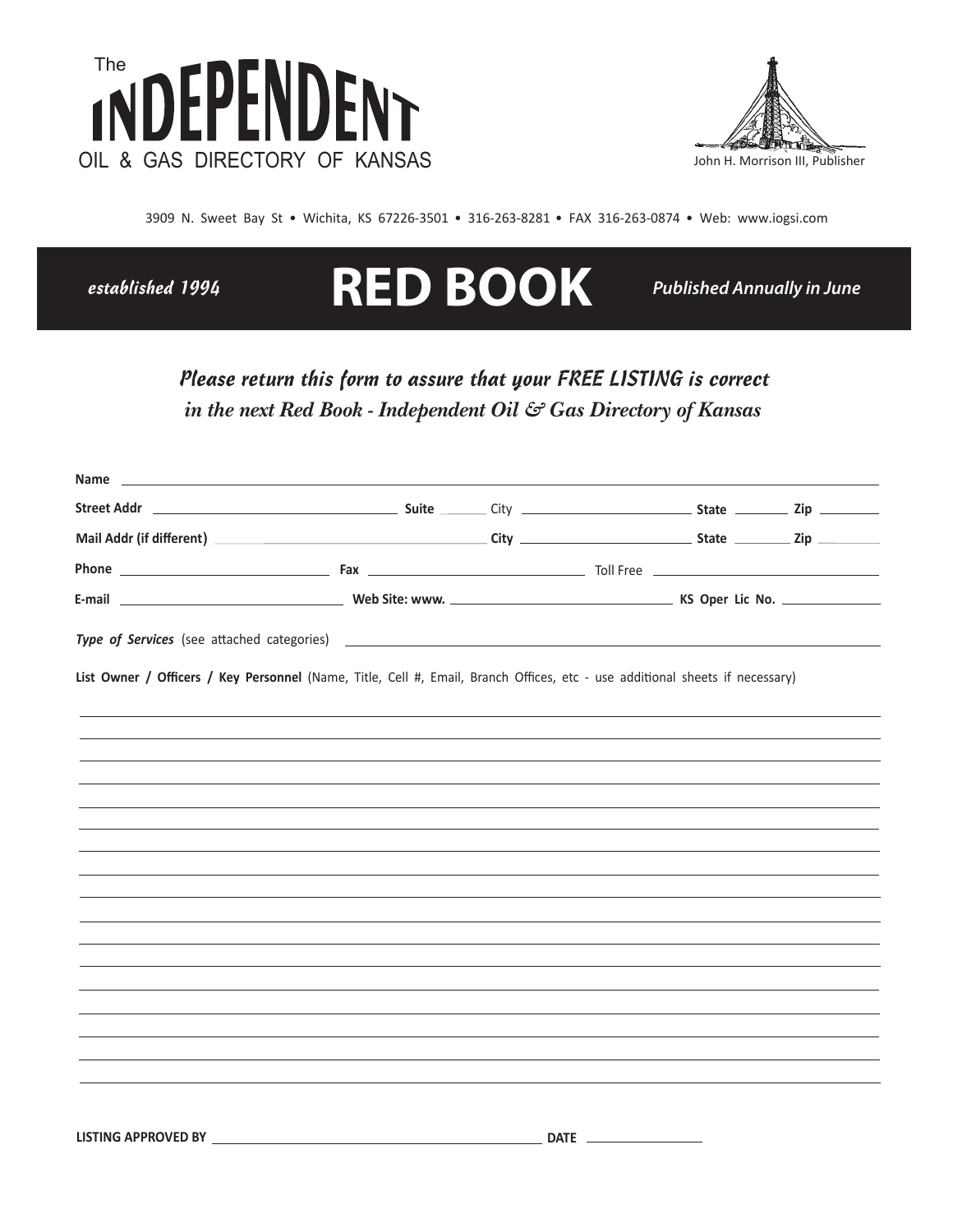



3909 N. Sweet Bay St . Wichita, KS 67226-3501 . 316-263-8281 . FAX 316-263-0874 . Web: www.iogsi.com

established 1994

 $\mathbf{A}$ 

# **RED BOOK**

**Published Annually in June** 

## Please return this form to assure that your FREE LISTING is correct in the next Red Book - Independent Oil & Gas Directory of Kansas

| List Owner / Officers / Key Personnel (Name, Title, Cell #, Email, Branch Offices, etc - use additional sheets if necessary) |  |
|------------------------------------------------------------------------------------------------------------------------------|--|
|                                                                                                                              |  |
|                                                                                                                              |  |
|                                                                                                                              |  |
|                                                                                                                              |  |
|                                                                                                                              |  |
|                                                                                                                              |  |
|                                                                                                                              |  |
|                                                                                                                              |  |
|                                                                                                                              |  |
|                                                                                                                              |  |
|                                                                                                                              |  |
|                                                                                                                              |  |
|                                                                                                                              |  |
| <u> 1989 - John Stone, Amerikaansk politiker (* 1989)</u>                                                                    |  |
|                                                                                                                              |  |
|                                                                                                                              |  |
|                                                                                                                              |  |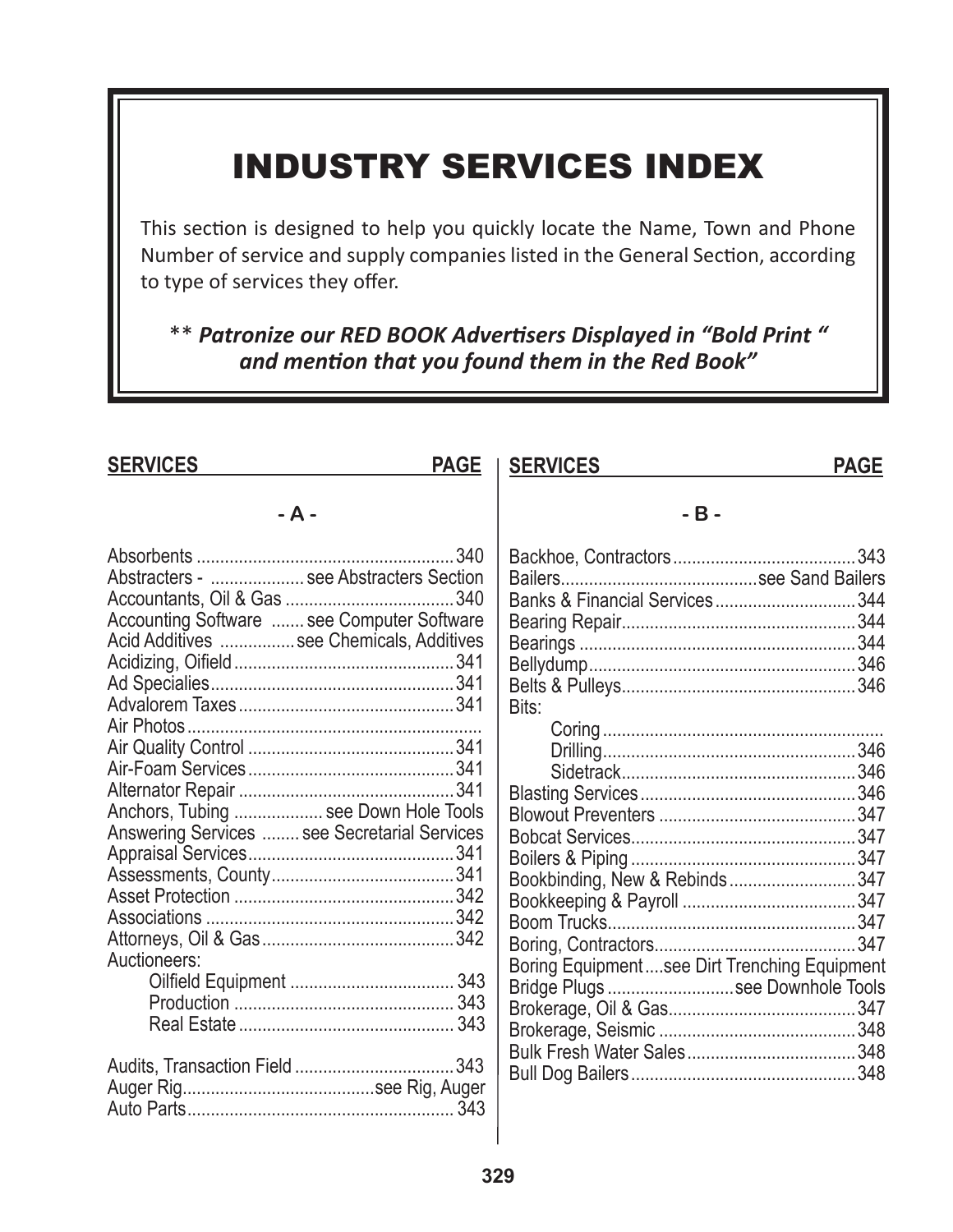## INDUSTRY SERVICES INDEX

This section is designed to help you quickly locate the Name, Town and Phone Number of service and supply companies listed in the General Section, according to type of services they offer.

\*\* Patronize our RED BOOK Advertisers Displayed in "Bold Print" and mention that you found them in the Red Book"

| <b>SERVICES</b>                                                                                                                                                                                                                          | <b>PAGE</b> | <b>SERVICES</b>                                                                                                                                            | <b>PAGE</b> |
|------------------------------------------------------------------------------------------------------------------------------------------------------------------------------------------------------------------------------------------|-------------|------------------------------------------------------------------------------------------------------------------------------------------------------------|-------------|
| $- A -$                                                                                                                                                                                                                                  |             | $-B -$                                                                                                                                                     |             |
| Abstracters -  see Abstracters Section<br>Accounting Software  see Computer Software<br>Acid Additives  see Chemicals, Additives<br>Anchors, Tubing  see Down Hole Tools<br>Answering Services  see Secretarial Services<br>Auctioneers: |             | Banks & Financial Services344<br>Bits:<br>Bookbinding, New & Rebinds347<br>Boring Equipmentsee Dirt Trenching Equipment<br>Bridge Plugs see Downhole Tools |             |
|                                                                                                                                                                                                                                          |             |                                                                                                                                                            |             |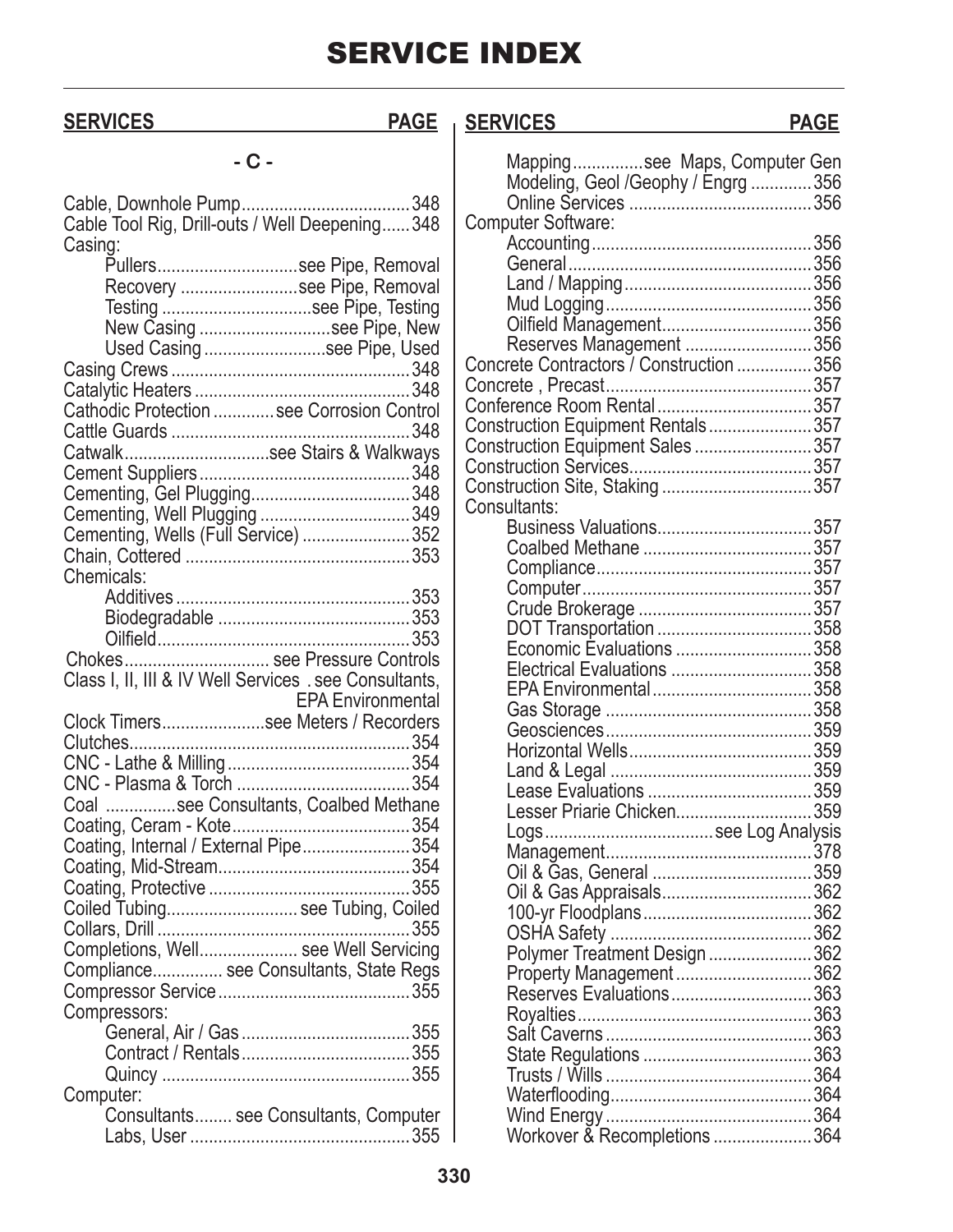## **SERVICES PAGE SERVICES PAGE**

| ٠<br><b>AND</b> |  |
|-----------------|--|
| ۰.<br>×<br>۰.   |  |

| Cable Tool Rig, Drill-outs / Well Deepening348         |
|--------------------------------------------------------|
| Casing:                                                |
| Pullerssee Pipe, Removal                               |
| Recovery see Pipe, Removal                             |
| Testing see Pipe, Testing                              |
| New Casing see Pipe, New                               |
| Used Casing see Pipe, Used                             |
|                                                        |
|                                                        |
| Cathodic Protection  see Corrosion Control             |
|                                                        |
| Catwalksee Stairs & Walkways                           |
|                                                        |
|                                                        |
| Cementing, Well Plugging 349                           |
| Cementing, Wells (Full Service) 352                    |
|                                                        |
| Chemicals:                                             |
|                                                        |
|                                                        |
|                                                        |
|                                                        |
| Chokes see Pressure Controls                           |
|                                                        |
| Class I, II, III & IV Well Services . see Consultants, |
| <b>EPA Environmental</b>                               |
|                                                        |
| Clock Timerssee Meters / Recorders                     |
|                                                        |
|                                                        |
|                                                        |
| Coal see Consultants, Coalbed Methane                  |
|                                                        |
| Coating, Internal / External Pipe354                   |
|                                                        |
|                                                        |
| Coiled Tubing see Tubing, Coiled                       |
|                                                        |
| Completions, Well see Well Servicing                   |
| Compliance see Consultants, State Regs                 |
|                                                        |
| Compressors:                                           |
|                                                        |
|                                                        |
|                                                        |
| Computer:                                              |
| Consultants see Consultants, Computer                  |
|                                                        |

| Mappingsee Maps, Computer Gen<br>Modeling, Geol /Geophy / Engrg 356 |  |
|---------------------------------------------------------------------|--|
| <b>Computer Software:</b>                                           |  |
|                                                                     |  |
|                                                                     |  |
|                                                                     |  |
|                                                                     |  |
| Oilfield Management356                                              |  |
| Reserves Management 356                                             |  |
| Concrete Contractors / Construction 356                             |  |
|                                                                     |  |
| Conference Room Rental357                                           |  |
| Construction Equipment Rentals357                                   |  |
|                                                                     |  |
|                                                                     |  |
| Construction Site, Staking357                                       |  |
| Consultants:                                                        |  |
| Business Valuations357                                              |  |
|                                                                     |  |
|                                                                     |  |
|                                                                     |  |
|                                                                     |  |
| DOT Transportation 358                                              |  |
| Economic Evaluations 358                                            |  |
| Electrical Evaluations 358                                          |  |
|                                                                     |  |
|                                                                     |  |
|                                                                     |  |
|                                                                     |  |
|                                                                     |  |
|                                                                     |  |
| Lesser Priarie Chicken359                                           |  |
|                                                                     |  |
|                                                                     |  |
|                                                                     |  |
|                                                                     |  |
|                                                                     |  |
|                                                                     |  |
| Polymer Treatment Design 362                                        |  |
| Property Management362                                              |  |
| Reserves Evaluations363                                             |  |
|                                                                     |  |
|                                                                     |  |
|                                                                     |  |
|                                                                     |  |
|                                                                     |  |
|                                                                     |  |
| Workover & Recompletions 364                                        |  |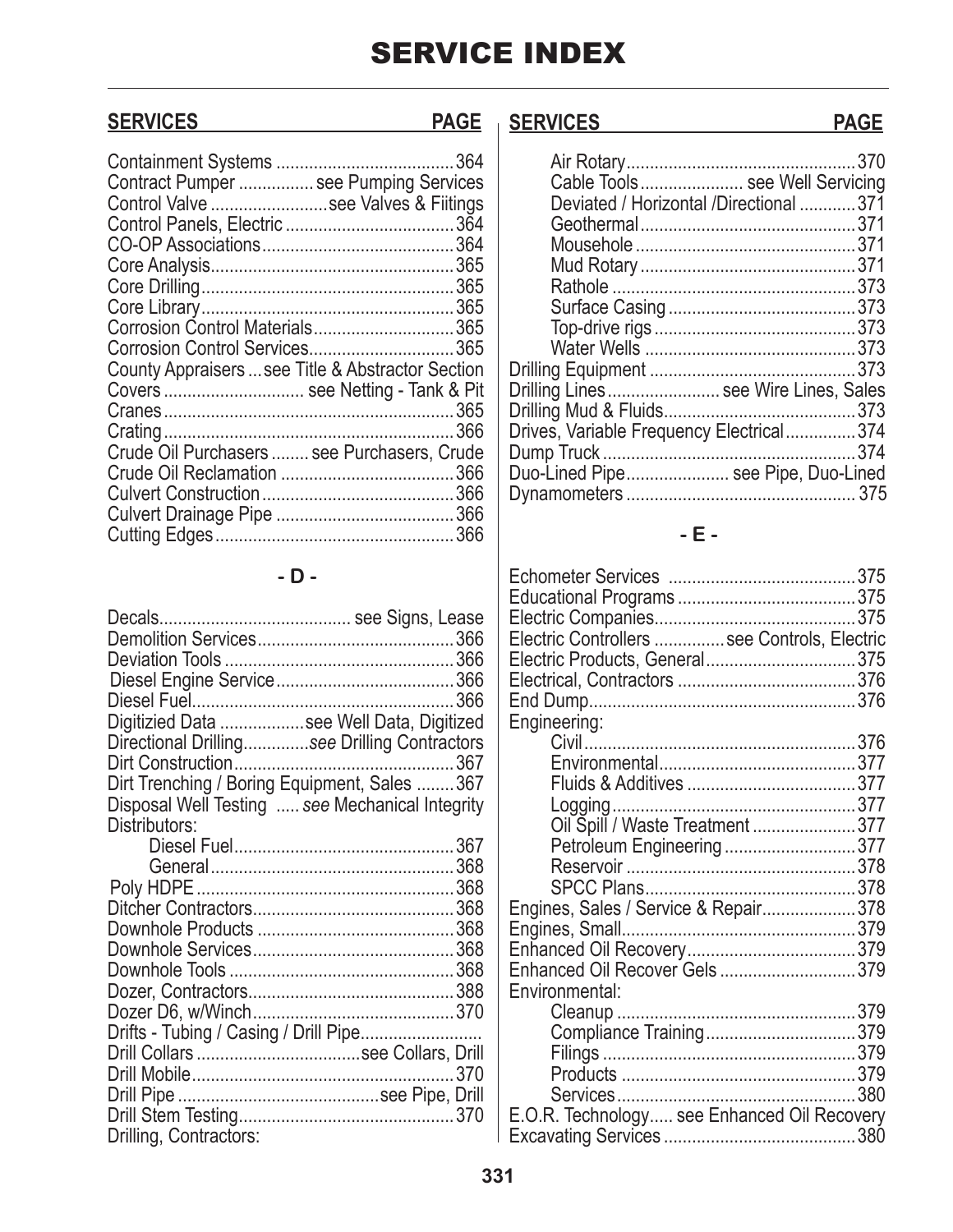| Contract Pumper  see Pumping Services             |  |
|---------------------------------------------------|--|
| Control Valve see Valves & Fiitings               |  |
|                                                   |  |
|                                                   |  |
|                                                   |  |
|                                                   |  |
|                                                   |  |
|                                                   |  |
| Corrosion Control Materials365                    |  |
| Corrosion Control Services365                     |  |
| County Appraisers  see Title & Abstractor Section |  |
| Covers  see Netting - Tank & Pit                  |  |
|                                                   |  |
|                                                   |  |
| Crude Oil Purchasers  see Purchasers, Crude       |  |
|                                                   |  |
|                                                   |  |
|                                                   |  |
|                                                   |  |
|                                                   |  |

### **- D -**

| Digitizied Data see Well Data, Digitized        |  |
|-------------------------------------------------|--|
| Directional Drillingsee Drilling Contractors    |  |
|                                                 |  |
| Dirt Trenching / Boring Equipment, Sales  367   |  |
| Disposal Well Testing  see Mechanical Integrity |  |
| Distributors:                                   |  |
|                                                 |  |
|                                                 |  |
|                                                 |  |
|                                                 |  |
|                                                 |  |
|                                                 |  |
|                                                 |  |
|                                                 |  |
|                                                 |  |
| Drifts - Tubing / Casing / Drill Pipe           |  |
|                                                 |  |
|                                                 |  |
|                                                 |  |
|                                                 |  |
| Drilling, Contractors:                          |  |
|                                                 |  |

## **SERVICES PAGE SERVICES PAGE**

| Cable Tools see Well Servicing           |  |
|------------------------------------------|--|
| Deviated / Horizontal /Directional  371  |  |
|                                          |  |
|                                          |  |
|                                          |  |
|                                          |  |
|                                          |  |
|                                          |  |
|                                          |  |
|                                          |  |
| Drilling Lines see Wire Lines, Sales     |  |
|                                          |  |
| Drives, Variable Frequency Electrical374 |  |
|                                          |  |
| Duo-Lined Pipe see Pipe, Duo-Lined       |  |
|                                          |  |
|                                          |  |

### **- E -**

| Electric Controllers  see Controls, Electric |  |
|----------------------------------------------|--|
| Electric Products, General375                |  |
|                                              |  |
|                                              |  |
| Engineering:                                 |  |
|                                              |  |
|                                              |  |
|                                              |  |
|                                              |  |
| Oil Spill / Waste Treatment 377              |  |
| Petroleum Engineering 377                    |  |
|                                              |  |
|                                              |  |
| Engines, Sales / Service & Repair378         |  |
|                                              |  |
|                                              |  |
| Enhanced Oil Recover Gels 379                |  |
| Environmental:                               |  |
|                                              |  |
|                                              |  |
|                                              |  |
|                                              |  |
|                                              |  |
| E.O.R. Technology see Enhanced Oil Recovery  |  |
|                                              |  |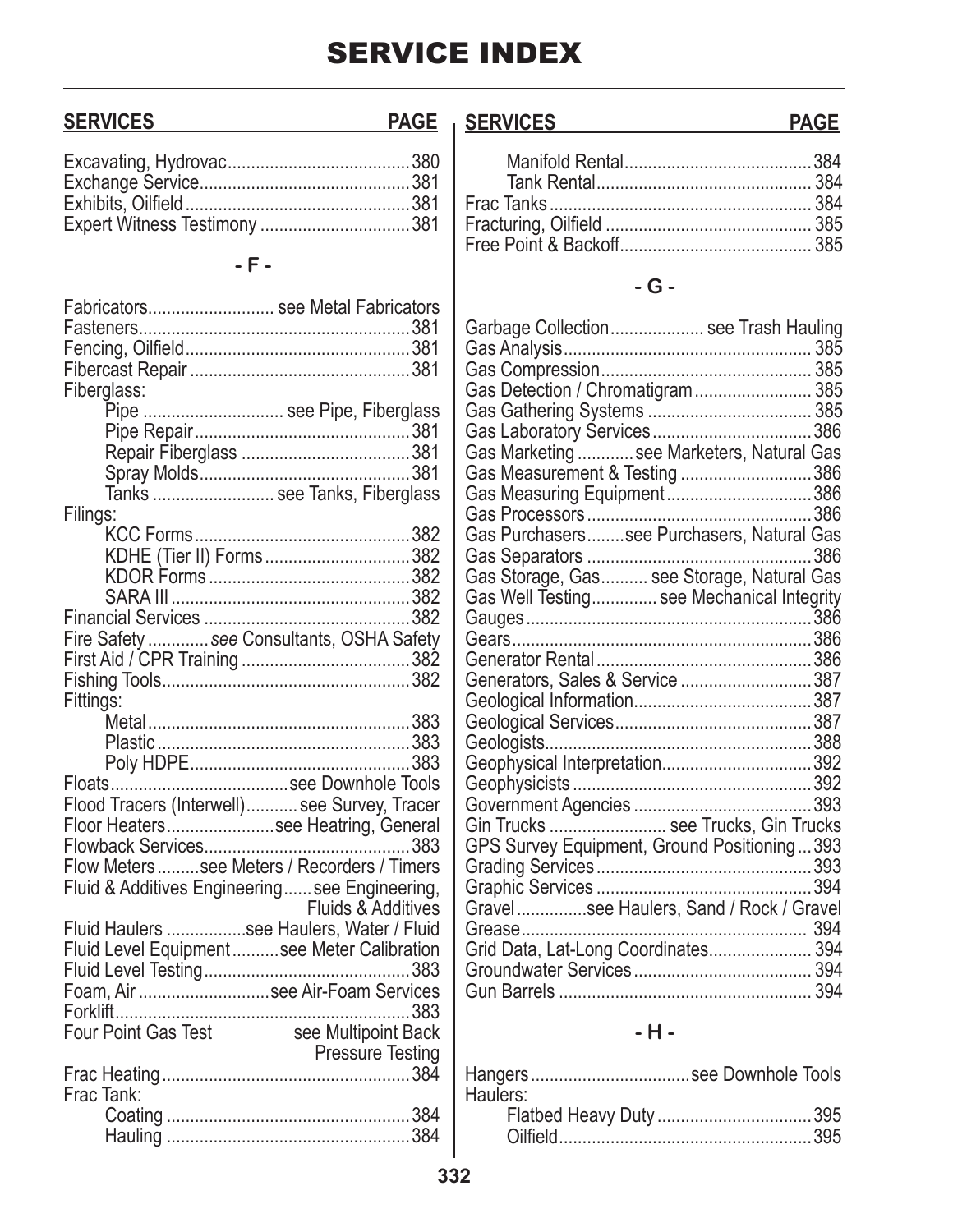## **SERVICES**

### **PAGE SERVICES**

## $\overline{\phantom{a}}$  <br> F  $\overline{\phantom{a}}$

| Fabricators see Metal Fabricators              |                               |
|------------------------------------------------|-------------------------------|
|                                                |                               |
|                                                |                               |
|                                                |                               |
| Fiberglass:                                    |                               |
|                                                | Pipe  see Pipe, Fiberglass    |
|                                                |                               |
|                                                |                               |
|                                                |                               |
|                                                | Tanks  see Tanks, Fiberglass  |
| Filings:                                       |                               |
|                                                |                               |
|                                                | KDHE (Tier II) Forms382       |
|                                                |                               |
|                                                |                               |
|                                                |                               |
| Fire Safety  see Consultants, OSHA Safety      |                               |
|                                                |                               |
|                                                |                               |
| Fittings:                                      |                               |
|                                                |                               |
|                                                |                               |
|                                                |                               |
|                                                |                               |
| Flood Tracers (Interwell) see Survey, Tracer   |                               |
| Floor Heaterssee Heatring, General             |                               |
|                                                |                               |
| Flow Meters see Meters / Recorders / Timers    |                               |
| Fluid & Additives Engineering see Engineering, |                               |
|                                                | <b>Fluids &amp; Additives</b> |
| Fluid Haulers see Haulers, Water / Fluid       |                               |
| Fluid Level Equipmentsee Meter Calibration     |                               |
|                                                |                               |
| Foam, Air see Air-Foam Services                |                               |
|                                                |                               |
| Four Point Gas Test                            | see Multipoint Back           |
|                                                | <b>Pressure Testing</b>       |
|                                                |                               |
| Frac Tank:                                     |                               |
|                                                |                               |
|                                                |                               |
|                                                |                               |

## $-G -$

| Garbage Collection see Trash Hauling        |  |
|---------------------------------------------|--|
|                                             |  |
|                                             |  |
| Gas Detection / Chromatigram 385            |  |
|                                             |  |
|                                             |  |
| Gas Marketing  see Marketers, Natural Gas   |  |
| Gas Measurement & Testing 386               |  |
| Gas Measuring Equipment386                  |  |
|                                             |  |
| Gas Purchaserssee Purchasers, Natural Gas   |  |
|                                             |  |
|                                             |  |
| Gas Well Testing see Mechanical Integrity   |  |
|                                             |  |
|                                             |  |
|                                             |  |
| Generators, Sales & Service 387             |  |
|                                             |  |
|                                             |  |
|                                             |  |
| Geophysical Interpretation392               |  |
|                                             |  |
|                                             |  |
| Gin Trucks  see Trucks, Gin Trucks          |  |
| GPS Survey Equipment, Ground Positioning393 |  |
|                                             |  |
|                                             |  |
| Gravelsee Haulers, Sand / Rock / Gravel     |  |
| Grease                                      |  |
| Grid Data, Lat-Long Coordinates 394         |  |
|                                             |  |
|                                             |  |
|                                             |  |

## $-H -$

| Haulers: |  |
|----------|--|
|          |  |
|          |  |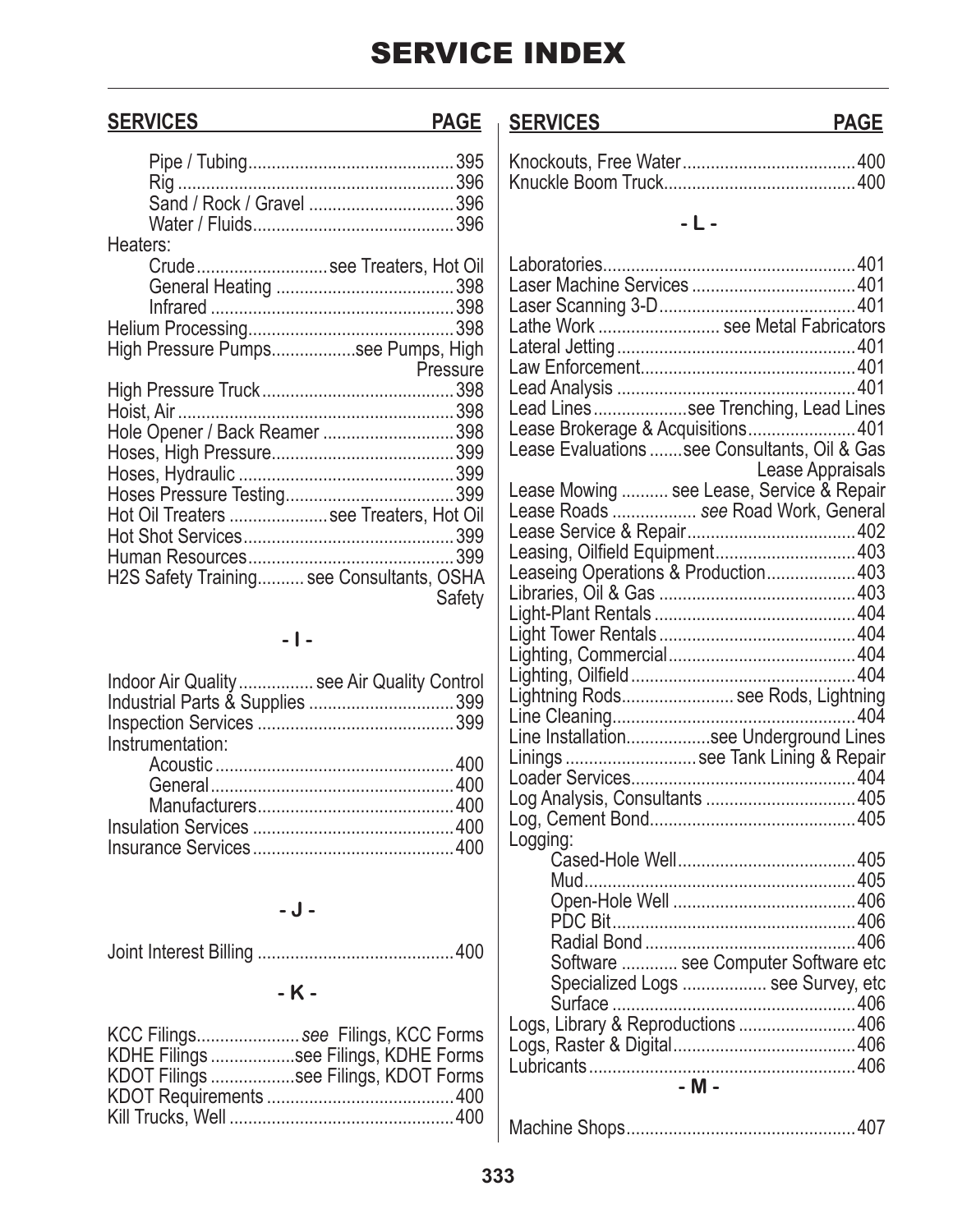| <b>SERVICES</b>  | <b>PAGE</b>                                                                         | <b>SERVICES</b>                                                                                                                                             | <b>PAGE</b>      |
|------------------|-------------------------------------------------------------------------------------|-------------------------------------------------------------------------------------------------------------------------------------------------------------|------------------|
|                  |                                                                                     |                                                                                                                                                             |                  |
| Heaters:         |                                                                                     | $-L -$                                                                                                                                                      |                  |
|                  | Crudesee Treaters, Hot Oil<br>High Pressure Pumpssee Pumps, High                    | Lathe Work  see Metal Fabricators                                                                                                                           |                  |
|                  | Pressure<br>Hole Opener / Back Reamer 398                                           | Lead Lines see Trenching, Lead Lines<br>Lease Brokerage & Acquisitions401<br>Lease Evaluations see Consultants, Oil & Gas                                   |                  |
|                  | Hot Oil Treaters see Treaters, Hot Oil<br>H2S Safety Training see Consultants, OSHA | Lease Mowing  see Lease, Service & Repair<br>Lease Roads  see Road Work, General<br>Leasing, Oilfield Equipment 403<br>Leaseing Operations & Production 403 | Lease Appraisals |
|                  | Safety<br>$-1-$                                                                     |                                                                                                                                                             |                  |
| Instrumentation: | Indoor Air Quality  see Air Quality Control<br>Industrial Parts & Supplies 399      | Lightning Rods see Rods, Lightning<br>Line Installationsee Underground Lines<br>Linings  see Tank Lining & Repair                                           |                  |
|                  |                                                                                     | Logging:                                                                                                                                                    |                  |
|                  | $-J -$                                                                              |                                                                                                                                                             |                  |
|                  | $-K -$                                                                              | Software  see Computer Software etc<br>Specialized Logs  see Survey, etc                                                                                    |                  |
|                  | KCC Eilings Coo Eilings KCC Earms                                                   | Logs, Library & Reproductions  406                                                                                                                          |                  |

| KCC Filingssee Filings, KCC Forms    |
|--------------------------------------|
| KDHE Filings see Filings, KDHE Forms |
| KDOT Filings see Filings, KDOT Forms |
|                                      |
|                                      |

|--|--|

Logs, Raster & Digital .......................................406 Lubricants .........................................................406 **- M -**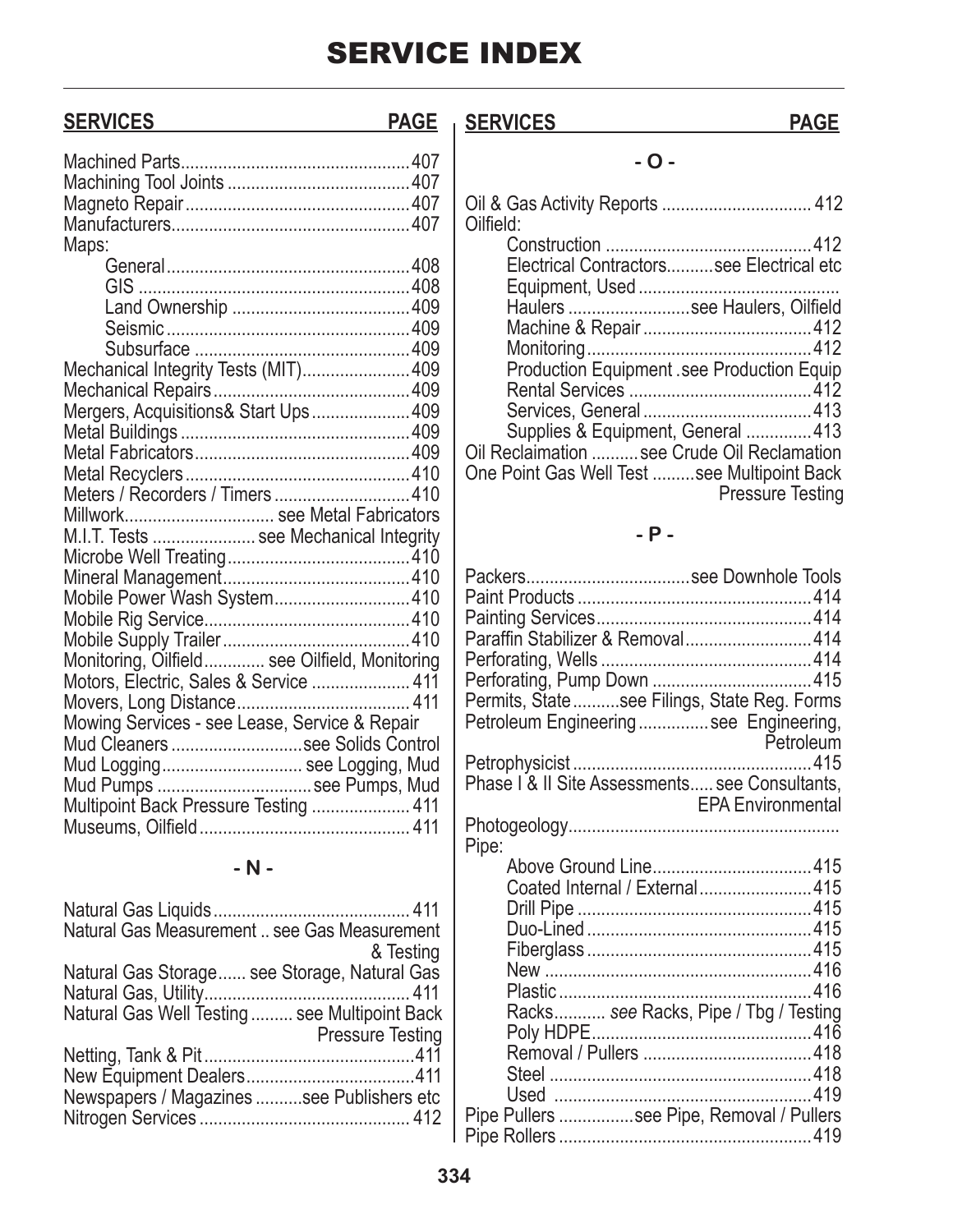## **SERVICES PAGE SERVICES PAGE**

| Maps:                                         |  |
|-----------------------------------------------|--|
|                                               |  |
|                                               |  |
|                                               |  |
|                                               |  |
|                                               |  |
| Mechanical Integrity Tests (MIT) 409          |  |
|                                               |  |
| Mergers, Acquisitions& Start Ups 409          |  |
|                                               |  |
|                                               |  |
|                                               |  |
| Meters / Recorders / Timers 410               |  |
| Millwork see Metal Fabricators                |  |
| M.I.T. Tests  see Mechanical Integrity        |  |
|                                               |  |
|                                               |  |
| Mobile Power Wash System410                   |  |
|                                               |  |
|                                               |  |
| Monitoring, Oilfield see Oilfield, Monitoring |  |
| Motors, Electric, Sales & Service  411        |  |
|                                               |  |
| Mowing Services - see Lease, Service & Repair |  |
| Mud Cleaners see Solids Control               |  |
| Mud Logging see Logging, Mud                  |  |
|                                               |  |
| Mud Pumps  see Pumps, Mud                     |  |
|                                               |  |
| Multipoint Back Pressure Testing  411         |  |

**- N -**

| Natural Gas Measurement  see Gas Measurement  |                         |
|-----------------------------------------------|-------------------------|
|                                               | & Testing               |
| Natural Gas Storage see Storage, Natural Gas  |                         |
|                                               |                         |
| Natural Gas Well Testing  see Multipoint Back |                         |
|                                               | <b>Pressure Testing</b> |
|                                               |                         |
|                                               |                         |
| Newspapers / Magazines see Publishers etc     |                         |
|                                               |                         |
|                                               |                         |

### **- O -**

## **- P -**

| Packerssee Downhole Tools                      |                          |
|------------------------------------------------|--------------------------|
|                                                |                          |
|                                                |                          |
| Paraffin Stabilizer & Removal414               |                          |
|                                                |                          |
|                                                |                          |
| Permits, State see Filings, State Reg. Forms   |                          |
| Petroleum Engineering see Engineering,         |                          |
|                                                | Petroleum                |
|                                                |                          |
| Phase I & II Site Assessments see Consultants, |                          |
|                                                | <b>EPA Environmental</b> |
|                                                |                          |
| Pipe:                                          |                          |
|                                                |                          |
| Coated Internal / External415                  |                          |
|                                                |                          |
|                                                |                          |
|                                                |                          |
|                                                |                          |
|                                                |                          |
| Racks see Racks, Pipe / Tbg / Testing          |                          |
|                                                |                          |
|                                                |                          |
|                                                |                          |
|                                                |                          |
| Pipe Pullers see Pipe, Removal / Pullers       |                          |
|                                                |                          |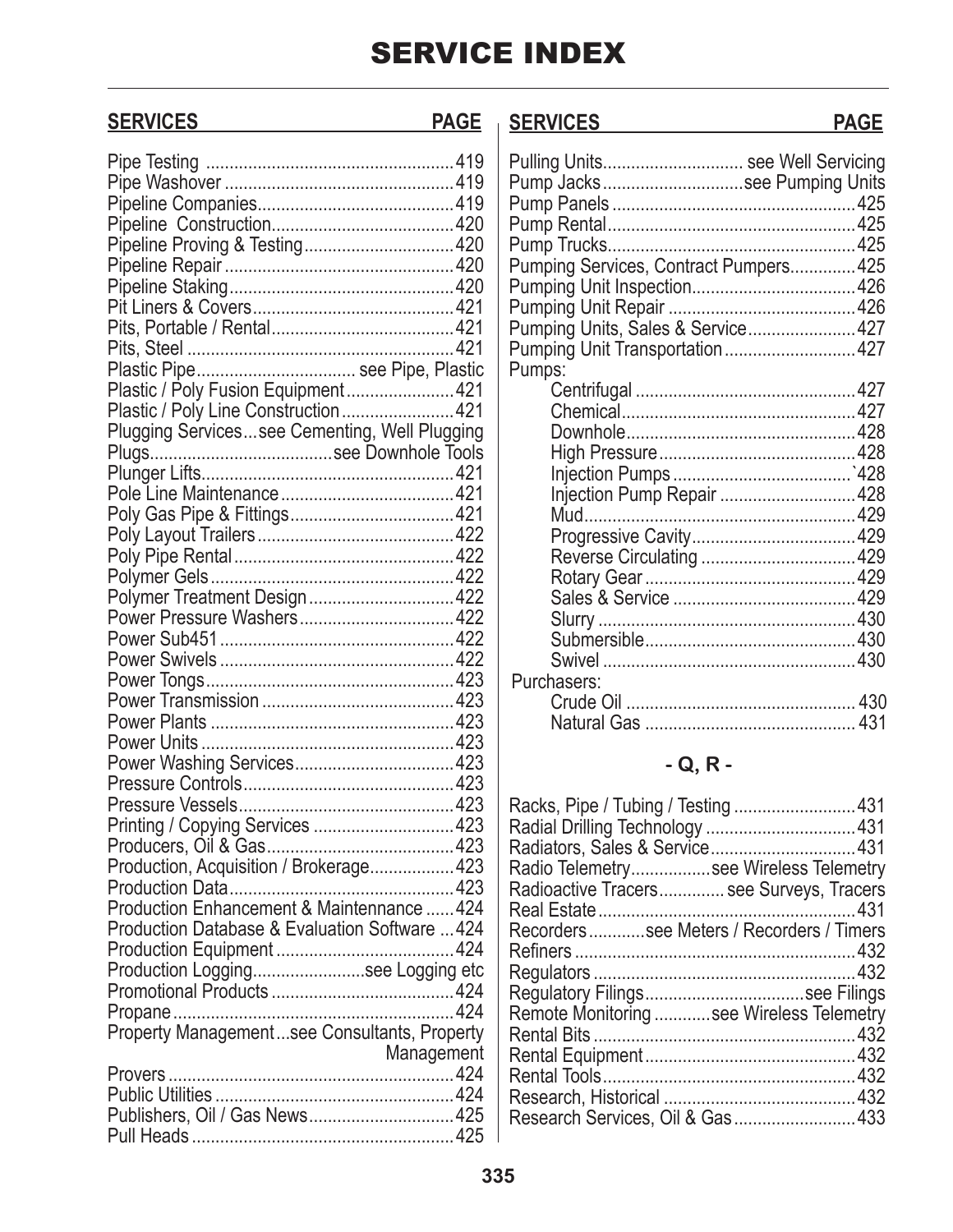| <b>SERVICES</b>                                                                                                                                                                                                                               | <b>PAGE</b> | <b>SERVICES</b>                        | <b>PAGE</b> |
|-----------------------------------------------------------------------------------------------------------------------------------------------------------------------------------------------------------------------------------------------|-------------|----------------------------------------|-------------|
|                                                                                                                                                                                                                                               |             |                                        |             |
|                                                                                                                                                                                                                                               |             | Pulling Units see Well Servicing       |             |
|                                                                                                                                                                                                                                               |             | Pump Jackssee Pumping Units            |             |
|                                                                                                                                                                                                                                               |             |                                        |             |
|                                                                                                                                                                                                                                               |             |                                        |             |
|                                                                                                                                                                                                                                               |             |                                        |             |
|                                                                                                                                                                                                                                               |             | Pumping Services, Contract Pumpers 425 |             |
|                                                                                                                                                                                                                                               |             |                                        |             |
|                                                                                                                                                                                                                                               |             |                                        |             |
|                                                                                                                                                                                                                                               |             | Pumping Units, Sales & Service427      |             |
|                                                                                                                                                                                                                                               |             | Pumping Unit Transportation427         |             |
| Plastic Pipe see Pipe, Plastic                                                                                                                                                                                                                |             | Pumps:                                 |             |
| Plastic / Poly Fusion Equipment421                                                                                                                                                                                                            |             |                                        |             |
|                                                                                                                                                                                                                                               |             |                                        |             |
| Plugging Servicessee Cementing, Well Plugging                                                                                                                                                                                                 |             |                                        |             |
|                                                                                                                                                                                                                                               |             |                                        |             |
|                                                                                                                                                                                                                                               |             |                                        |             |
|                                                                                                                                                                                                                                               |             | Injection Pump Repair  428             |             |
|                                                                                                                                                                                                                                               |             |                                        |             |
|                                                                                                                                                                                                                                               |             |                                        |             |
|                                                                                                                                                                                                                                               |             |                                        |             |
|                                                                                                                                                                                                                                               |             |                                        |             |
| Polymer Treatment Design422                                                                                                                                                                                                                   |             |                                        |             |
|                                                                                                                                                                                                                                               |             |                                        |             |
|                                                                                                                                                                                                                                               |             |                                        |             |
|                                                                                                                                                                                                                                               |             |                                        |             |
|                                                                                                                                                                                                                                               |             | Purchasers:                            |             |
|                                                                                                                                                                                                                                               |             |                                        |             |
|                                                                                                                                                                                                                                               |             |                                        |             |
| $\overline{A}$ . The contract of the contract of the contract of the contract of the contract of the contract of the contract of the contract of the contract of the contract of the contract of the contract of the contract of th<br>Dayian |             |                                        |             |

## **- Q, R -**

| Racks, Pipe / Tubing / Testing 431       |  |
|------------------------------------------|--|
| Radial Drilling Technology 431           |  |
| Radiators, Sales & Service431            |  |
| Radio Telemetrysee Wireless Telemetry    |  |
| Radioactive Tracers see Surveys, Tracers |  |
|                                          |  |
| Recorderssee Meters / Recorders / Timers |  |
|                                          |  |
|                                          |  |
| Regulatory Filingssee Filings            |  |
| Remote Monitoring see Wireless Telemetry |  |
|                                          |  |
|                                          |  |
|                                          |  |
|                                          |  |
| Research Services, Oil & Gas433          |  |
|                                          |  |

| Pipeline Proving & Testing420                  |
|------------------------------------------------|
|                                                |
|                                                |
|                                                |
|                                                |
|                                                |
|                                                |
| Plastic Pipe see Pipe, Plastic                 |
| Plastic / Poly Fusion Equipment 421            |
| Plastic / Poly Line Construction  421          |
| Plugging Servicessee Cementing, Well Plugging  |
|                                                |
|                                                |
|                                                |
|                                                |
|                                                |
|                                                |
|                                                |
|                                                |
| Polymer Treatment Design 422                   |
| Power Pressure Washers 422                     |
|                                                |
|                                                |
|                                                |
|                                                |
|                                                |
|                                                |
|                                                |
|                                                |
|                                                |
| Printing / Copying Services  423               |
|                                                |
| Production, Acquisition / Brokerage 423        |
|                                                |
| Production Enhancement & Maintennance  424     |
| Production Database & Evaluation Software  424 |
|                                                |
|                                                |
|                                                |
|                                                |
|                                                |
|                                                |
| Management                                     |
|                                                |
|                                                |
| Publishers, Oil / Gas News 425                 |
|                                                |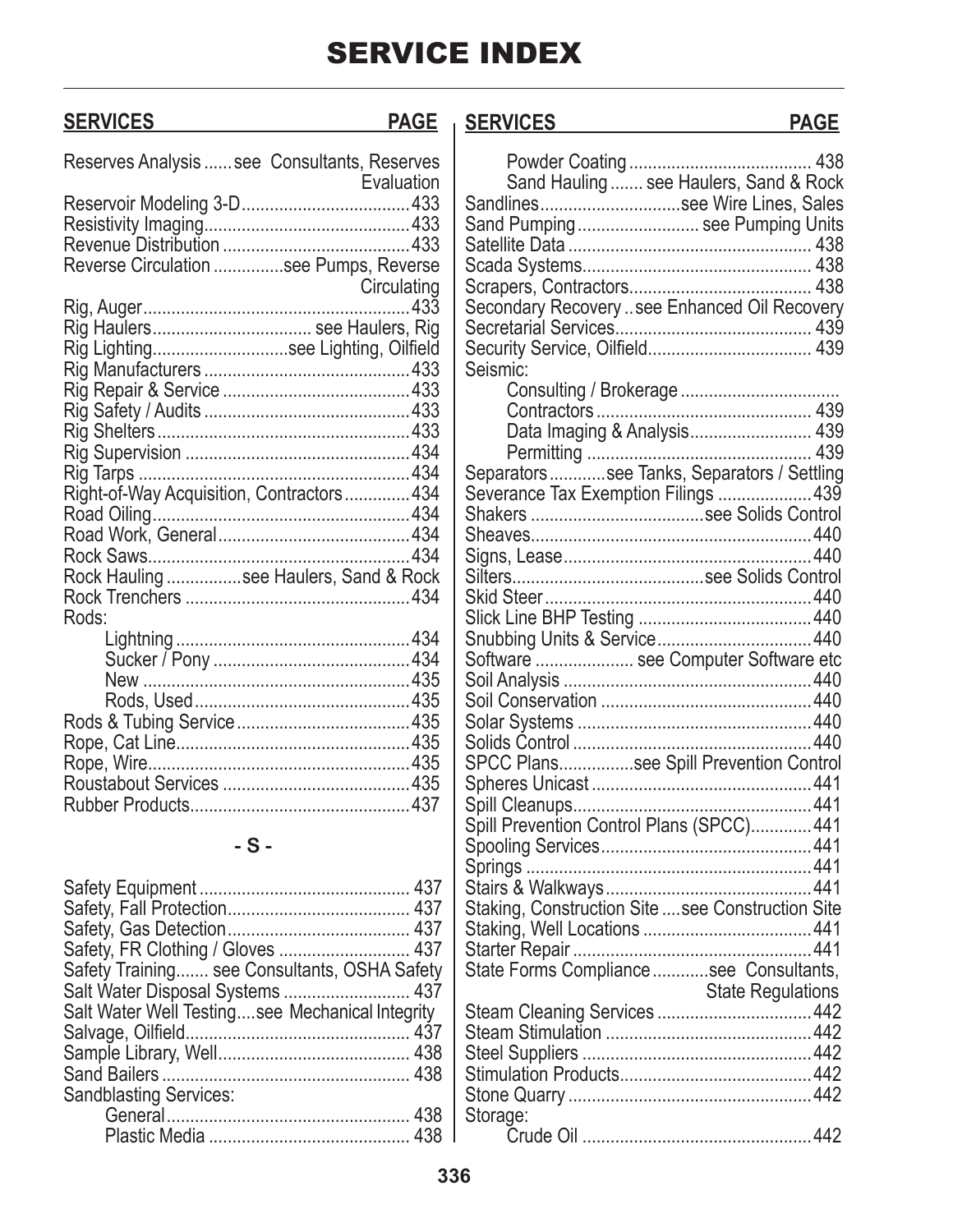## **SERVICES PAGE SERVICES PAGE**

| Reserves Analysis  see Consultants, Reserves |             |
|----------------------------------------------|-------------|
|                                              | Evaluation  |
|                                              |             |
|                                              |             |
|                                              |             |
| Reverse Circulation see Pumps, Reverse       |             |
|                                              | Circulating |
|                                              |             |
| Rig Haulers see Haulers, Rig                 |             |
| Rig Lightingsee Lighting, Oilfield           |             |
|                                              |             |
|                                              |             |
|                                              |             |
|                                              |             |
|                                              |             |
|                                              |             |
| Right-of-Way Acquisition, Contractors434     |             |
|                                              |             |
|                                              |             |
|                                              |             |
| Rock Hauling see Haulers, Sand & Rock        |             |
|                                              |             |
| Rods:                                        |             |
|                                              |             |
|                                              |             |
|                                              |             |
|                                              |             |
|                                              |             |
|                                              |             |
|                                              |             |
|                                              |             |
|                                              |             |
|                                              |             |

### **- S -**

| Safety Training see Consultants, OSHA Safety    |
|-------------------------------------------------|
| Salt Water Disposal Systems  437                |
| Salt Water Well Testingsee Mechanical Integrity |
|                                                 |
|                                                 |
|                                                 |
|                                                 |
|                                                 |
|                                                 |
|                                                 |

| Sand Hauling  see Haulers, Sand & Rock            |  |
|---------------------------------------------------|--|
| Sandlinessee Wire Lines, Sales                    |  |
| Sand Pumping see Pumping Units                    |  |
|                                                   |  |
|                                                   |  |
|                                                   |  |
| Secondary Recovery see Enhanced Oil Recovery      |  |
|                                                   |  |
|                                                   |  |
|                                                   |  |
| Seismic:                                          |  |
|                                                   |  |
|                                                   |  |
| Data Imaging & Analysis 439                       |  |
|                                                   |  |
| Separatorssee Tanks, Separators / Settling        |  |
| Severance Tax Exemption Filings  439              |  |
|                                                   |  |
|                                                   |  |
|                                                   |  |
|                                                   |  |
|                                                   |  |
|                                                   |  |
|                                                   |  |
| Software  see Computer Software etc               |  |
|                                                   |  |
|                                                   |  |
|                                                   |  |
|                                                   |  |
| SPCC Planssee Spill Prevention Control            |  |
|                                                   |  |
|                                                   |  |
| Spill Prevention Control Plans (SPCC) 441         |  |
|                                                   |  |
|                                                   |  |
|                                                   |  |
| Staking, Construction Site  see Construction Site |  |
|                                                   |  |
|                                                   |  |
| State Forms Compliancesee Consultants,            |  |
|                                                   |  |
| <b>State Regulations</b>                          |  |
|                                                   |  |
|                                                   |  |
|                                                   |  |
|                                                   |  |
|                                                   |  |
| Storage:                                          |  |
|                                                   |  |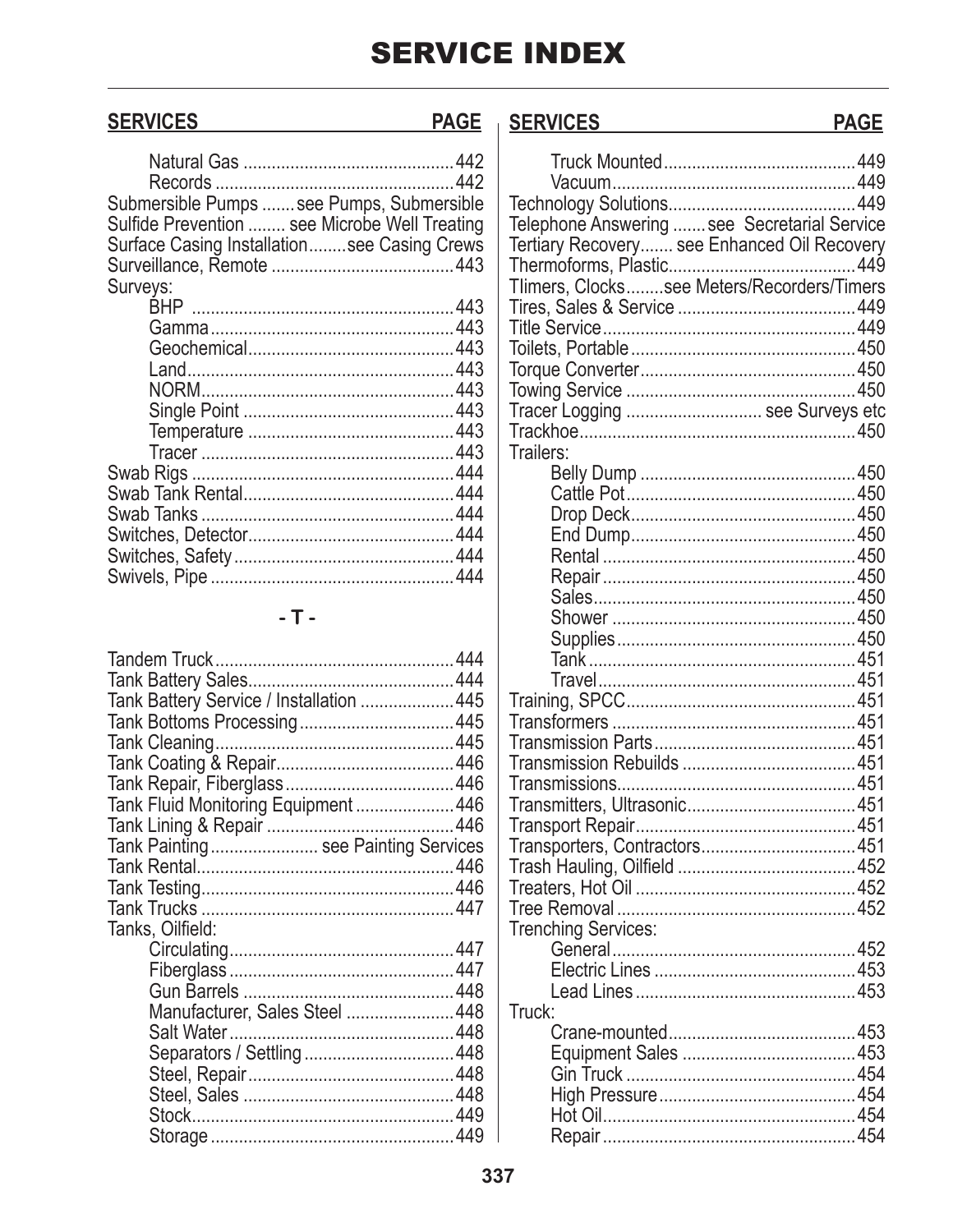## **SERVICES**

### SERVICES **PAGE**

| Submersible Pumps  see Pumps, Submersible     |  |
|-----------------------------------------------|--|
| Sulfide Prevention  see Microbe Well Treating |  |
| Surface Casing Installationsee Casing Crews   |  |
|                                               |  |
| Surveys:                                      |  |
|                                               |  |
|                                               |  |
|                                               |  |
|                                               |  |
|                                               |  |
|                                               |  |
|                                               |  |
|                                               |  |
|                                               |  |
|                                               |  |
|                                               |  |
|                                               |  |
|                                               |  |
|                                               |  |
|                                               |  |
|                                               |  |

## $-$  T  $-$

| Tank Battery Service / Installation  445 |  |
|------------------------------------------|--|
|                                          |  |
|                                          |  |
|                                          |  |
|                                          |  |
| Tank Fluid Monitoring Equipment  446     |  |
|                                          |  |
| Tank Painting see Painting Services      |  |
|                                          |  |
|                                          |  |
|                                          |  |
| Tanks, Oilfield:                         |  |
|                                          |  |
|                                          |  |
|                                          |  |
| Manufacturer, Sales Steel  448           |  |
|                                          |  |
|                                          |  |
|                                          |  |
|                                          |  |
|                                          |  |
|                                          |  |

| <b>SERVICES</b>                              | <b>PAGE</b> |
|----------------------------------------------|-------------|
|                                              |             |
|                                              |             |
|                                              |             |
| Felephone Answering  see Secretarial Service |             |
| Fertiary Recovery see Enhanced Oil Recovery  |             |
|                                              |             |
| Tlimers, Clockssee Meters/Recorders/Timers   |             |
|                                              |             |
|                                              |             |
|                                              |             |
|                                              |             |
|                                              |             |
| Fracer Logging  see Surveys etc              |             |
| <b>Trailers:</b>                             |             |
|                                              |             |
|                                              |             |
|                                              |             |
|                                              |             |
|                                              |             |
|                                              |             |
|                                              |             |
|                                              |             |
|                                              |             |
|                                              |             |
|                                              |             |
|                                              |             |
|                                              |             |
|                                              |             |
|                                              |             |
|                                              |             |
|                                              |             |
|                                              |             |
| Fransporters, Contractors451                 |             |
|                                              |             |
|                                              |             |
| <b>Trenching Services:</b>                   |             |
|                                              |             |
|                                              |             |
|                                              |             |
| Truck:                                       |             |
|                                              |             |
|                                              |             |
|                                              |             |
|                                              |             |
|                                              |             |
|                                              |             |